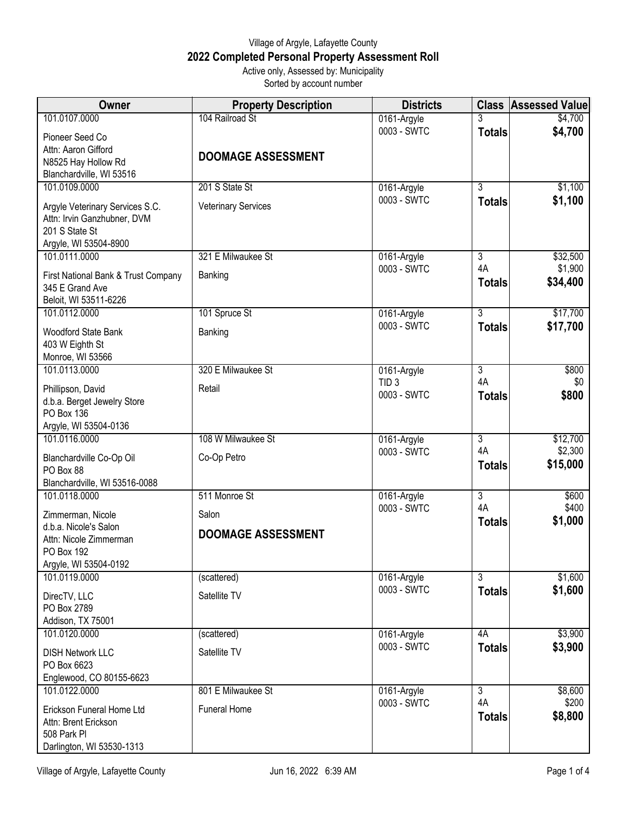## Village of Argyle, Lafayette County **2022 Completed Personal Property Assessment Roll** Active only, Assessed by: Municipality

Sorted by account number

| <b>Owner</b>                                     | <b>Property Description</b> | <b>Districts</b>           |                      | <b>Class Assessed Value</b> |
|--------------------------------------------------|-----------------------------|----------------------------|----------------------|-----------------------------|
| 101.0107.0000                                    | 104 Railroad St             | 0161-Argyle                |                      | \$4,700                     |
| Pioneer Seed Co                                  |                             | 0003 - SWTC                | <b>Totals</b>        | \$4,700                     |
| Attn: Aaron Gifford                              | <b>DOOMAGE ASSESSMENT</b>   |                            |                      |                             |
| N8525 Hay Hollow Rd                              |                             |                            |                      |                             |
| Blanchardville, WI 53516                         |                             |                            |                      |                             |
| 101.0109.0000                                    | 201 S State St              | 0161-Argyle<br>0003 - SWTC | $\overline{3}$       | \$1,100                     |
| Argyle Veterinary Services S.C.                  | <b>Veterinary Services</b>  |                            | <b>Totals</b>        | \$1,100                     |
| Attn: Irvin Ganzhubner, DVM                      |                             |                            |                      |                             |
| 201 S State St                                   |                             |                            |                      |                             |
| Argyle, WI 53504-8900<br>101.0111.0000           | 321 E Milwaukee St          | 0161-Argyle                | $\overline{3}$       | \$32,500                    |
|                                                  |                             | 0003 - SWTC                | 4A                   | \$1,900                     |
| First National Bank & Trust Company              | Banking                     |                            | <b>Totals</b>        | \$34,400                    |
| 345 E Grand Ave<br>Beloit, WI 53511-6226         |                             |                            |                      |                             |
| 101.0112.0000                                    | 101 Spruce St               | 0161-Argyle                | $\overline{3}$       | \$17,700                    |
|                                                  |                             | 0003 - SWTC                | <b>Totals</b>        | \$17,700                    |
| <b>Woodford State Bank</b>                       | Banking                     |                            |                      |                             |
| 403 W Eighth St<br>Monroe, WI 53566              |                             |                            |                      |                             |
| 101.0113.0000                                    | 320 E Milwaukee St          | 0161-Argyle                | $\overline{3}$       | \$800                       |
|                                                  |                             | TID <sub>3</sub>           | 4A                   | \$0                         |
| Phillipson, David                                | Retail                      | 0003 - SWTC                | <b>Totals</b>        | \$800                       |
| d.b.a. Berget Jewelry Store<br><b>PO Box 136</b> |                             |                            |                      |                             |
| Argyle, WI 53504-0136                            |                             |                            |                      |                             |
| 101.0116.0000                                    | 108 W Milwaukee St          | 0161-Argyle                | $\overline{3}$       | \$12,700                    |
|                                                  | Co-Op Petro                 | 0003 - SWTC                | 4A                   | \$2,300                     |
| Blanchardville Co-Op Oil<br>PO Box 88            |                             |                            | <b>Totals</b>        | \$15,000                    |
| Blanchardville, WI 53516-0088                    |                             |                            |                      |                             |
| 101.0118.0000                                    | 511 Monroe St               | 0161-Argyle                | $\overline{3}$       | \$600                       |
| Zimmerman, Nicole                                | Salon                       | 0003 - SWTC                | 4A                   | \$400                       |
| d.b.a. Nicole's Salon                            |                             |                            | <b>Totals</b>        | \$1,000                     |
| Attn: Nicole Zimmerman                           | <b>DOOMAGE ASSESSMENT</b>   |                            |                      |                             |
| <b>PO Box 192</b>                                |                             |                            |                      |                             |
| Argyle, WI 53504-0192                            |                             |                            |                      |                             |
| 101.0119.0000                                    | (scattered)                 | 0161-Argyle                | $\overline{3}$       | \$1,600                     |
| DirecTV, LLC                                     | Satellite TV                | 0003 - SWTC                | <b>Totals</b>        | \$1,600                     |
| PO Box 2789                                      |                             |                            |                      |                             |
| Addison, TX 75001                                |                             |                            |                      |                             |
| 101.0120.0000                                    | (scattered)                 | 0161-Argyle<br>0003 - SWTC | 4A                   | \$3,900                     |
| <b>DISH Network LLC</b>                          | Satellite TV                |                            | <b>Totals</b>        | \$3,900                     |
| PO Box 6623                                      |                             |                            |                      |                             |
| Englewood, CO 80155-6623                         |                             |                            |                      |                             |
| 101.0122.0000                                    | 801 E Milwaukee St          | 0161-Argyle<br>0003 - SWTC | $\overline{3}$<br>4A | \$8,600<br>\$200            |
| Erickson Funeral Home Ltd                        | <b>Funeral Home</b>         |                            | <b>Totals</b>        | \$8,800                     |
| Attn: Brent Erickson                             |                             |                            |                      |                             |
| 508 Park Pl                                      |                             |                            |                      |                             |
| Darlington, WI 53530-1313                        |                             |                            |                      |                             |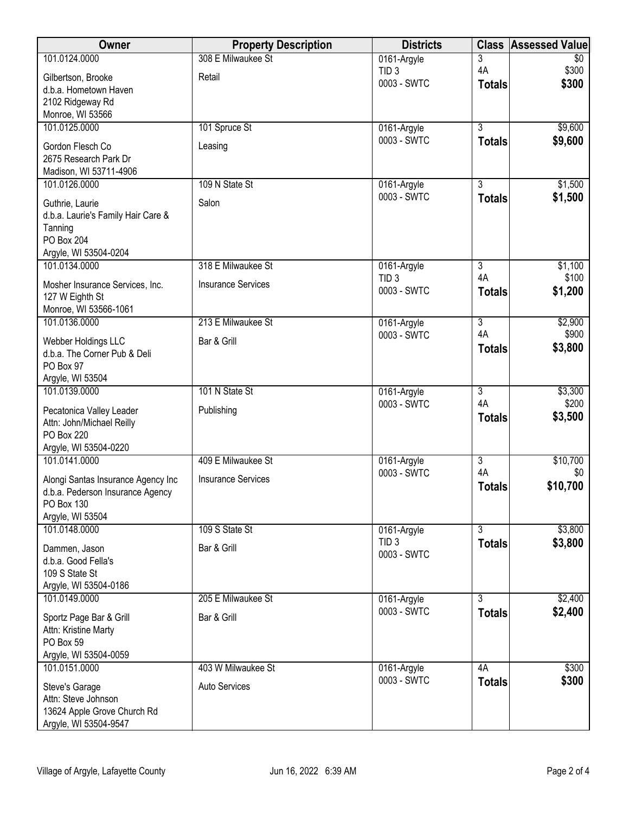| Owner                                              | <b>Property Description</b> | <b>Districts</b>                | <b>Class</b>              | <b>Assessed Value</b> |
|----------------------------------------------------|-----------------------------|---------------------------------|---------------------------|-----------------------|
| 101.0124.0000                                      | 308 E Milwaukee St          | 0161-Argyle                     | 3                         | \$0                   |
| Gilbertson, Brooke                                 | Retail                      | TID <sub>3</sub><br>0003 - SWTC | 4A                        | \$300<br>\$300        |
| d.b.a. Hometown Haven                              |                             |                                 | <b>Totals</b>             |                       |
| 2102 Ridgeway Rd<br>Monroe, WI 53566               |                             |                                 |                           |                       |
| 101.0125.0000                                      | 101 Spruce St               | 0161-Argyle                     | $\overline{3}$            | \$9,600               |
| Gordon Flesch Co                                   | Leasing                     | 0003 - SWTC                     | <b>Totals</b>             | \$9,600               |
| 2675 Research Park Dr                              |                             |                                 |                           |                       |
| Madison, WI 53711-4906                             |                             |                                 |                           |                       |
| 101.0126.0000                                      | 109 N State St              | 0161-Argyle                     | 3                         | \$1,500               |
| Guthrie, Laurie                                    | Salon                       | 0003 - SWTC                     | <b>Totals</b>             | \$1,500               |
| d.b.a. Laurie's Family Hair Care &                 |                             |                                 |                           |                       |
| Tanning<br><b>PO Box 204</b>                       |                             |                                 |                           |                       |
| Argyle, WI 53504-0204                              |                             |                                 |                           |                       |
| 101.0134.0000                                      | 318 E Milwaukee St          | 0161-Argyle                     | $\overline{3}$            | \$1,100               |
| Mosher Insurance Services, Inc.                    | <b>Insurance Services</b>   | TID <sub>3</sub>                | 4A                        | \$100                 |
| 127 W Eighth St                                    |                             | 0003 - SWTC                     | <b>Totals</b>             | \$1,200               |
| Monroe, WI 53566-1061                              |                             |                                 |                           |                       |
| 101.0136.0000                                      | 213 E Milwaukee St          | 0161-Argyle<br>0003 - SWTC      | $\overline{3}$<br>4A      | \$2,900<br>\$900      |
| Webber Holdings LLC                                | Bar & Grill                 |                                 | <b>Totals</b>             | \$3,800               |
| d.b.a. The Corner Pub & Deli<br>PO Box 97          |                             |                                 |                           |                       |
| Argyle, WI 53504                                   |                             |                                 |                           |                       |
| 101.0139.0000                                      | 101 N State St              | 0161-Argyle                     | $\overline{3}$            | \$3,300               |
| Pecatonica Valley Leader                           | Publishing                  | 0003 - SWTC                     | 4A                        | \$200                 |
| Attn: John/Michael Reilly                          |                             |                                 | <b>Totals</b>             | \$3,500               |
| <b>PO Box 220</b>                                  |                             |                                 |                           |                       |
| Argyle, WI 53504-0220<br>101.0141.0000             | 409 E Milwaukee St          |                                 | $\overline{\overline{3}}$ | \$10,700              |
|                                                    |                             | 0161-Argyle<br>0003 - SWTC      | 4A                        | \$0                   |
| Alongi Santas Insurance Agency Inc                 | <b>Insurance Services</b>   |                                 | <b>Totals</b>             | \$10,700              |
| d.b.a. Pederson Insurance Agency<br>PO Box 130     |                             |                                 |                           |                       |
| Argyle, WI 53504                                   |                             |                                 |                           |                       |
| 101.0148.0000                                      | 109 S State St              | 0161-Argyle                     | $\overline{3}$            | \$3,800               |
| Dammen, Jason                                      | Bar & Grill                 | TID <sub>3</sub><br>0003 - SWTC | <b>Totals</b>             | \$3,800               |
| d.b.a. Good Fella's                                |                             |                                 |                           |                       |
| 109 S State St                                     |                             |                                 |                           |                       |
| Argyle, WI 53504-0186<br>101.0149.0000             | 205 E Milwaukee St          | 0161-Argyle                     | 3                         | \$2,400               |
| Sportz Page Bar & Grill                            | Bar & Grill                 | 0003 - SWTC                     | <b>Totals</b>             | \$2,400               |
| Attn: Kristine Marty                               |                             |                                 |                           |                       |
| PO Box 59                                          |                             |                                 |                           |                       |
| Argyle, WI 53504-0059                              |                             |                                 |                           |                       |
| 101.0151.0000                                      | 403 W Milwaukee St          | 0161-Argyle<br>0003 - SWTC      | 4A                        | \$300                 |
| Steve's Garage                                     | <b>Auto Services</b>        |                                 | <b>Totals</b>             | \$300                 |
| Attn: Steve Johnson<br>13624 Apple Grove Church Rd |                             |                                 |                           |                       |
| Argyle, WI 53504-9547                              |                             |                                 |                           |                       |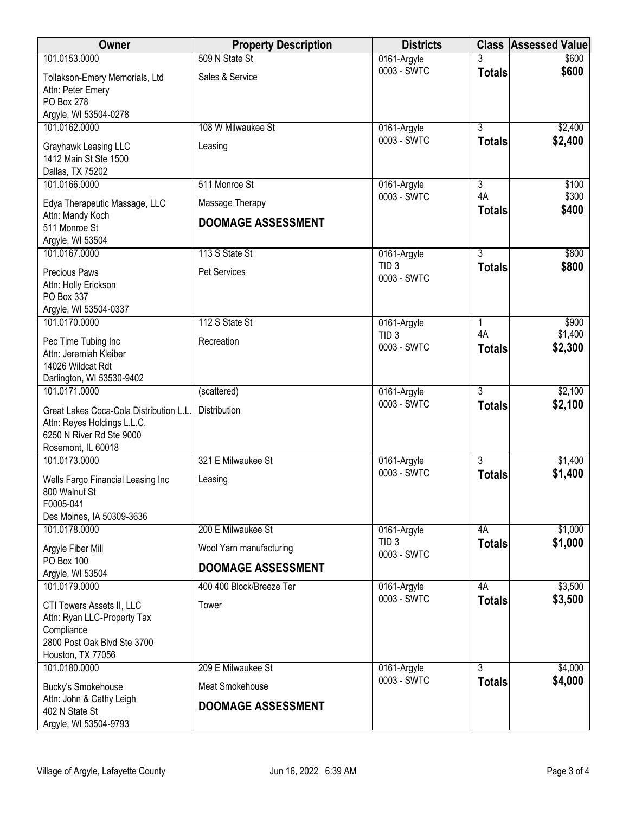| Owner                                                                                                                      | <b>Property Description</b> | <b>Districts</b>                |                     | <b>Class Assessed Value</b> |
|----------------------------------------------------------------------------------------------------------------------------|-----------------------------|---------------------------------|---------------------|-----------------------------|
| 101.0153.0000                                                                                                              | 509 N State St              | 0161-Argyle                     | 3                   | \$600                       |
| Tollakson-Emery Memorials, Ltd<br>Attn: Peter Emery<br>PO Box 278<br>Argyle, WI 53504-0278                                 | Sales & Service             | 0003 - SWTC                     | <b>Totals</b>       | \$600                       |
| 101.0162.0000                                                                                                              | 108 W Milwaukee St          | 0161-Argyle                     | $\overline{3}$      | \$2,400                     |
| Grayhawk Leasing LLC<br>1412 Main St Ste 1500<br>Dallas, TX 75202                                                          | Leasing                     | 0003 - SWTC                     | <b>Totals</b>       | \$2,400                     |
| 101.0166.0000                                                                                                              | 511 Monroe St               | 0161-Argyle                     | $\overline{3}$      | \$100                       |
| Edya Therapeutic Massage, LLC                                                                                              | Massage Therapy             | 0003 - SWTC                     | 4A                  | \$300<br>\$400              |
| Attn: Mandy Koch<br>511 Monroe St<br>Argyle, WI 53504                                                                      | <b>DOOMAGE ASSESSMENT</b>   |                                 | <b>Totals</b>       |                             |
| 101.0167.0000                                                                                                              | 113 S State St              | 0161-Argyle                     | $\overline{3}$      | \$800                       |
| Precious Paws<br>Attn: Holly Erickson<br>PO Box 337<br>Argyle, WI 53504-0337                                               | <b>Pet Services</b>         | TID <sub>3</sub><br>0003 - SWTC | <b>Totals</b>       | \$800                       |
| 101.0170.0000                                                                                                              | 112 S State St              | 0161-Argyle                     | $\mathbf{1}$        | \$900                       |
| Pec Time Tubing Inc<br>Attn: Jeremiah Kleiber<br>14026 Wildcat Rdt<br>Darlington, WI 53530-9402                            | Recreation                  | TID <sub>3</sub><br>0003 - SWTC | 4A<br><b>Totals</b> | \$1,400<br>\$2,300          |
| 101.0171.0000                                                                                                              | (scattered)                 | 0161-Argyle                     | $\overline{3}$      | \$2,100                     |
| Great Lakes Coca-Cola Distribution L.L.<br>Attn: Reyes Holdings L.L.C.<br>6250 N River Rd Ste 9000<br>Rosemont, IL 60018   | Distribution                | 0003 - SWTC                     | <b>Totals</b>       | \$2,100                     |
| 101.0173.0000                                                                                                              | 321 E Milwaukee St          | 0161-Argyle                     | $\overline{3}$      | \$1,400                     |
| Wells Fargo Financial Leasing Inc<br>800 Walnut St<br>F0005-041<br>Des Moines, IA 50309-3636                               | Leasing                     | 0003 - SWTC                     | <b>Totals</b>       | \$1,400                     |
| 101.0178.0000                                                                                                              | 200 E Milwaukee St          | 0161-Argyle                     | 4A                  | \$1,000                     |
| Argyle Fiber Mill                                                                                                          | Wool Yarn manufacturing     | TID <sub>3</sub>                | <b>Totals</b>       | \$1,000                     |
| <b>PO Box 100</b><br>Argyle, WI 53504                                                                                      | <b>DOOMAGE ASSESSMENT</b>   | 0003 - SWTC                     |                     |                             |
| 101.0179.0000                                                                                                              | 400 400 Block/Breeze Ter    | 0161-Argyle                     | 4A                  | \$3,500                     |
| CTI Towers Assets II, LLC<br>Attn: Ryan LLC-Property Tax<br>Compliance<br>2800 Post Oak Blvd Ste 3700<br>Houston, TX 77056 | Tower                       | 0003 - SWTC                     | <b>Totals</b>       | \$3,500                     |
| 101.0180.0000                                                                                                              | 209 E Milwaukee St          | 0161-Argyle                     | $\overline{3}$      | \$4,000                     |
| <b>Bucky's Smokehouse</b>                                                                                                  | Meat Smokehouse             | 0003 - SWTC                     | <b>Totals</b>       | \$4,000                     |
| Attn: John & Cathy Leigh<br>402 N State St<br>Argyle, WI 53504-9793                                                        | <b>DOOMAGE ASSESSMENT</b>   |                                 |                     |                             |